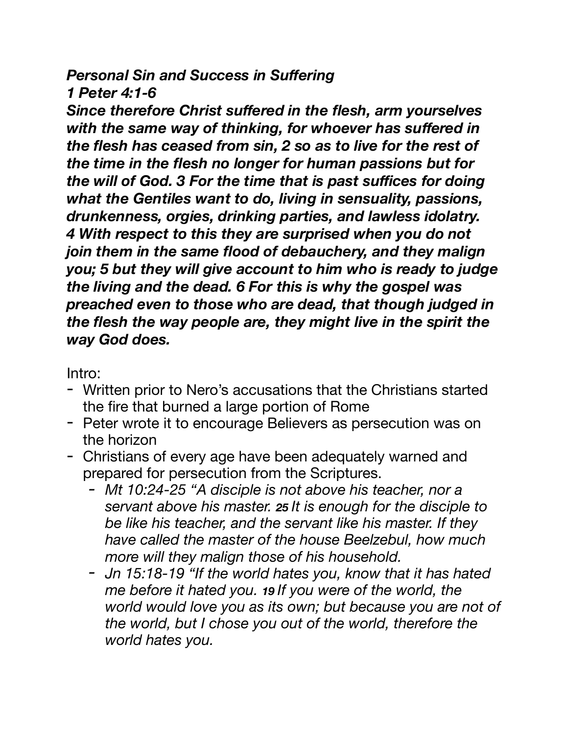## *Personal Sin and Success in Suffering 1 Peter 4:1-6*

*Since therefore Christ suffered in the flesh, arm yourselves with the same way of thinking, for whoever has suffered in the flesh has ceased from sin, 2 so as to live for the rest of the time in the flesh no longer for human passions but for the will of God. 3 For the time that is past suffices for doing what the Gentiles want to do, living in sensuality, passions, drunkenness, orgies, drinking parties, and lawless idolatry. 4 With respect to this they are surprised when you do not join them in the same flood of debauchery, and they malign you; 5 but they will give account to him who is ready to judge the living and the dead. 6 For this is why the gospel was preached even to those who are dead, that though judged in the flesh the way people are, they might live in the spirit the way God does.* 

Intro:

- Written prior to Nero's accusations that the Christians started the fire that burned a large portion of Rome
- Peter wrote it to encourage Believers as persecution was on the horizon
- Christians of every age have been adequately warned and prepared for persecution from the Scriptures.
	- *- Mt 10:24-25 "A disciple is not above his teacher, nor a servant above his master. 25 It is enough for the disciple to be like his teacher, and the servant like his master. If they have called the master of the house Beelzebul, how much more will they malign those of his household.*
	- *- Jn 15:18-19 "If the world hates you, know that it has hated me before it hated you. 19 If you were of the world, the world would love you as its own; but because you are not of the world, but I chose you out of the world, therefore the world hates you.*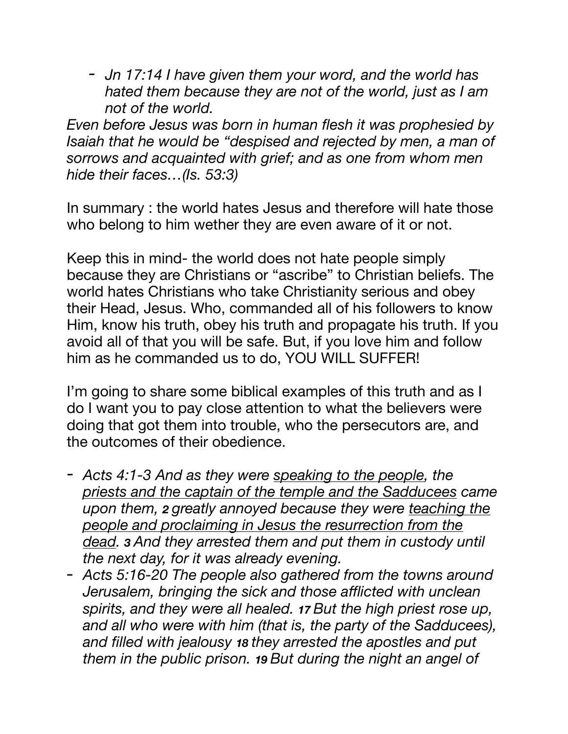*- Jn 17:14 I have given them your word, and the world has hated them because they are not of the world, just as I am not of the world.* 

*Even before Jesus was born in human flesh it was prophesied by Isaiah that he would be "despised and rejected by men, a man of sorrows and acquainted with grief; and as one from whom men hide their faces…(Is. 53:3)* 

In summary : the world hates Jesus and therefore will hate those who belong to him wether they are even aware of it or not.

Keep this in mind- the world does not hate people simply because they are Christians or "ascribe" to Christian beliefs. The world hates Christians who take Christianity serious and obey their Head, Jesus. Who, commanded all of his followers to know Him, know his truth, obey his truth and propagate his truth. If you avoid all of that you will be safe. But, if you love him and follow him as he commanded us to do, YOU WILL SUFFER!

I'm going to share some biblical examples of this truth and as I do I want you to pay close attention to what the believers were doing that got them into trouble, who the persecutors are, and the outcomes of their obedience.

- *Acts 4:1-3 And as they were speaking to the people, the priests and the captain of the temple and the Sadducees came upon them, 2 greatly annoyed because they were teaching the people and proclaiming in Jesus the resurrection from the dead. 3 And they arrested them and put them in custody until the next day, for it was already evening.*
- *- Acts 5:16-20 The people also gathered from the towns around Jerusalem, bringing the sick and those afflicted with unclean spirits, and they were all healed. 17 But the high priest rose up, and all who were with him (that is, the party of the Sadducees), and filled with jealousy 18 they arrested the apostles and put them in the public prison. 19 But during the night an angel of*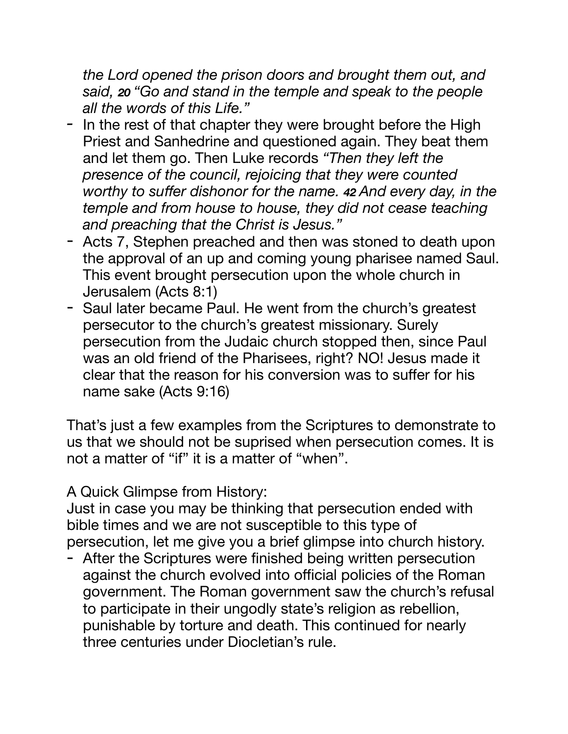*the Lord opened the prison doors and brought them out, and said, 20 "Go and stand in the temple and speak to the people all the words of this Life."* 

- *-* In the rest of that chapter they were brought before the High Priest and Sanhedrine and questioned again. They beat them and let them go. Then Luke records *"Then they left the presence of the council, rejoicing that they were counted worthy to suffer dishonor for the name. 42 And every day, in the temple and from house to house, they did not cease teaching and preaching that the Christ is Jesus."*
- Acts 7, Stephen preached and then was stoned to death upon the approval of an up and coming young pharisee named Saul. This event brought persecution upon the whole church in Jerusalem (Acts 8:1)
- Saul later became Paul. He went from the church's greatest persecutor to the church's greatest missionary. Surely persecution from the Judaic church stopped then, since Paul was an old friend of the Pharisees, right? NO! Jesus made it clear that the reason for his conversion was to suffer for his name sake (Acts 9:16)

That's just a few examples from the Scriptures to demonstrate to us that we should not be suprised when persecution comes. It is not a matter of "if" it is a matter of "when".

A Quick Glimpse from History:

Just in case you may be thinking that persecution ended with bible times and we are not susceptible to this type of persecution, let me give you a brief glimpse into church history.

- After the Scriptures were finished being written persecution against the church evolved into official policies of the Roman government. The Roman government saw the church's refusal to participate in their ungodly state's religion as rebellion, punishable by torture and death. This continued for nearly three centuries under Diocletian's rule.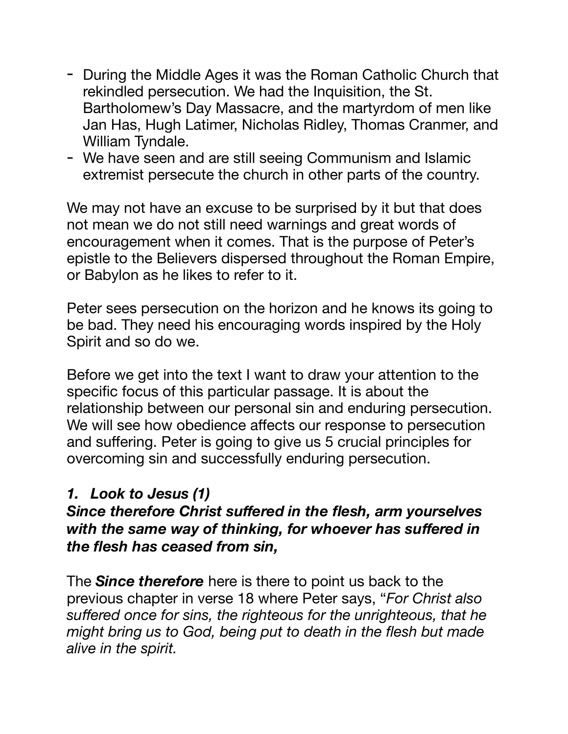- During the Middle Ages it was the Roman Catholic Church that rekindled persecution. We had the Inquisition, the St. Bartholomew's Day Massacre, and the martyrdom of men like Jan Has, Hugh Latimer, Nicholas Ridley, Thomas Cranmer, and William Tyndale.
- We have seen and are still seeing Communism and Islamic extremist persecute the church in other parts of the country.

We may not have an excuse to be surprised by it but that does not mean we do not still need warnings and great words of encouragement when it comes. That is the purpose of Peter's epistle to the Believers dispersed throughout the Roman Empire, or Babylon as he likes to refer to it.

Peter sees persecution on the horizon and he knows its going to be bad. They need his encouraging words inspired by the Holy Spirit and so do we.

Before we get into the text I want to draw your attention to the specific focus of this particular passage. It is about the relationship between our personal sin and enduring persecution. We will see how obedience affects our response to persecution and suffering. Peter is going to give us 5 crucial principles for overcoming sin and successfully enduring persecution.

## *1. Look to Jesus (1)*

## *Since therefore Christ suffered in the flesh, arm yourselves with the same way of thinking, for whoever has suffered in the flesh has ceased from sin,*

The *Since therefore* here is there to point us back to the previous chapter in verse 18 where Peter says, "*For Christ also suffered once for sins, the righteous for the unrighteous, that he might bring us to God, being put to death in the flesh but made alive in the spirit.*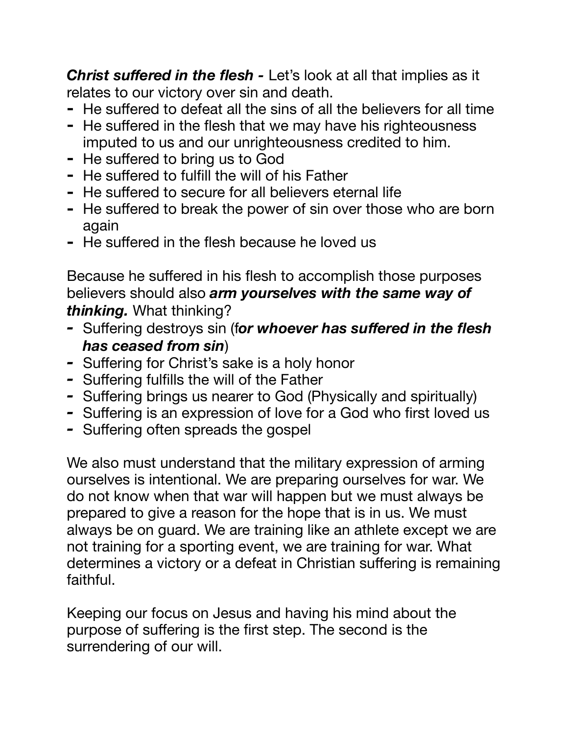**Christ suffered in the flesh -** Let's look at all that implies as it relates to our victory over sin and death.

- **-** He suffered to defeat all the sins of all the believers for all time
- **-** He suffered in the flesh that we may have his righteousness imputed to us and our unrighteousness credited to him.
- **-** He suffered to bring us to God
- **-** He suffered to fulfill the will of his Father
- **-** He suffered to secure for all believers eternal life
- **-** He suffered to break the power of sin over those who are born again
- **-** He suffered in the flesh because he loved us

Because he suffered in his flesh to accomplish those purposes believers should also *arm yourselves with the same way of thinking.* What thinking?

- *-* Suffering destroys sin (f*or whoever has suffered in the flesh has ceased from sin*)
- *-* Suffering for Christ's sake is a holy honor
- *-* Suffering fulfills the will of the Father
- *-* Suffering brings us nearer to God (Physically and spiritually)
- *-* Suffering is an expression of love for a God who first loved us
- *-* Suffering often spreads the gospel

We also must understand that the military expression of arming ourselves is intentional. We are preparing ourselves for war. We do not know when that war will happen but we must always be prepared to give a reason for the hope that is in us. We must always be on guard. We are training like an athlete except we are not training for a sporting event, we are training for war. What determines a victory or a defeat in Christian suffering is remaining faithful.

Keeping our focus on Jesus and having his mind about the purpose of suffering is the first step. The second is the surrendering of our will.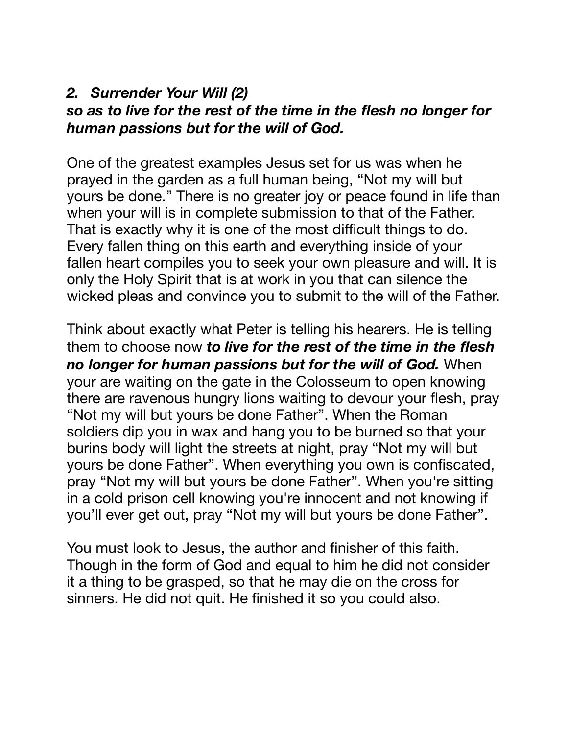#### *2. Surrender Your Will (2) so as to live for the rest of the time in the flesh no longer for human passions but for the will of God.*

One of the greatest examples Jesus set for us was when he prayed in the garden as a full human being, "Not my will but yours be done." There is no greater joy or peace found in life than when your will is in complete submission to that of the Father. That is exactly why it is one of the most difficult things to do. Every fallen thing on this earth and everything inside of your fallen heart compiles you to seek your own pleasure and will. It is only the Holy Spirit that is at work in you that can silence the wicked pleas and convince you to submit to the will of the Father.

Think about exactly what Peter is telling his hearers. He is telling them to choose now *to live for the rest of the time in the flesh no longer for human passions but for the will of God.* When your are waiting on the gate in the Colosseum to open knowing there are ravenous hungry lions waiting to devour your flesh, pray "Not my will but yours be done Father". When the Roman soldiers dip you in wax and hang you to be burned so that your burins body will light the streets at night, pray "Not my will but yours be done Father". When everything you own is confiscated, pray "Not my will but yours be done Father". When you're sitting in a cold prison cell knowing you're innocent and not knowing if you'll ever get out, pray "Not my will but yours be done Father".

You must look to Jesus, the author and finisher of this faith. Though in the form of God and equal to him he did not consider it a thing to be grasped, so that he may die on the cross for sinners. He did not quit. He finished it so you could also.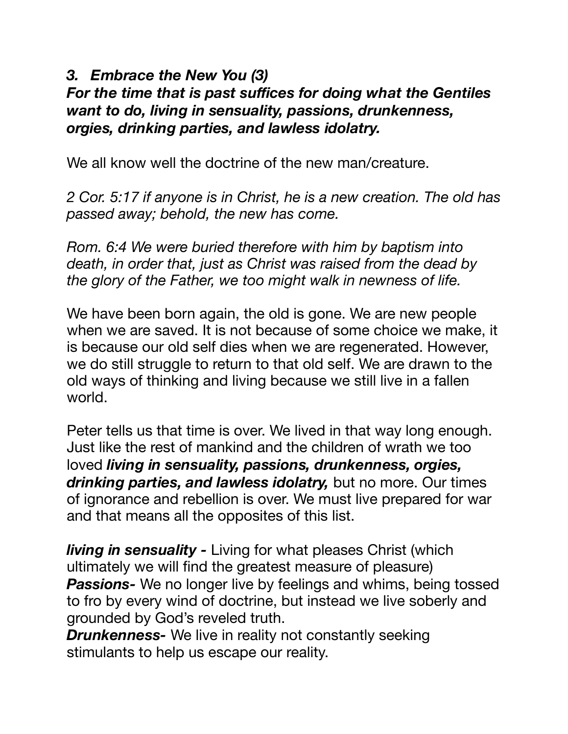## *3. Embrace the New You (3)*

## *For the time that is past suffices for doing what the Gentiles want to do, living in sensuality, passions, drunkenness, orgies, drinking parties, and lawless idolatry.*

We all know well the doctrine of the new man/creature.

*2 Cor. 5:17 if anyone is in Christ, he is a new creation. The old has passed away; behold, the new has come.* 

*Rom. 6:4 We were buried therefore with him by baptism into death, in order that, just as Christ was raised from the dead by the glory of the Father, we too might walk in newness of life.* 

We have been born again, the old is gone. We are new people when we are saved. It is not because of some choice we make, it is because our old self dies when we are regenerated. However, we do still struggle to return to that old self. We are drawn to the old ways of thinking and living because we still live in a fallen world.

Peter tells us that time is over. We lived in that way long enough. Just like the rest of mankind and the children of wrath we too loved *living in sensuality, passions, drunkenness, orgies, drinking parties, and lawless idolatry,* but no more. Our times of ignorance and rebellion is over. We must live prepared for war and that means all the opposites of this list.

*living in sensuality -* Living for what pleases Christ (which ultimately we will find the greatest measure of pleasure) *Passions-* We no longer live by feelings and whims, being tossed to fro by every wind of doctrine, but instead we live soberly and grounded by God's reveled truth.

*Drunkenness-* We live in reality not constantly seeking stimulants to help us escape our reality.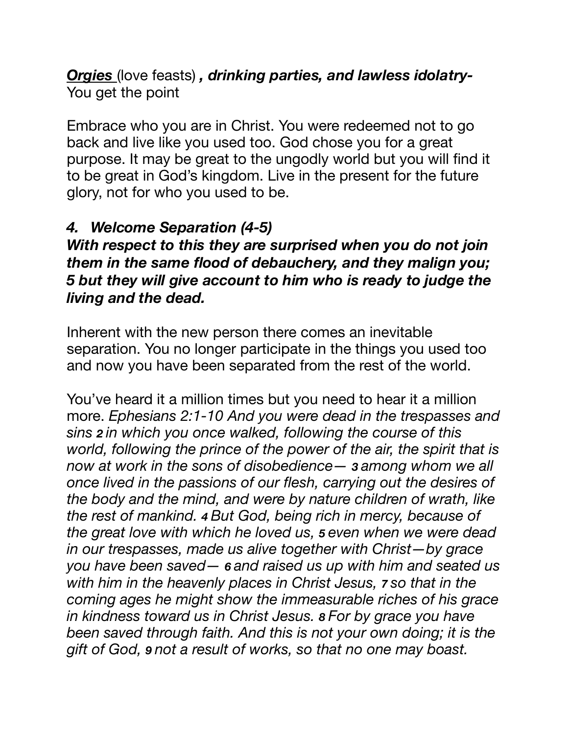#### *Orgies* (love feasts) *, drinking parties, and lawless idolatry-*You get the point

Embrace who you are in Christ. You were redeemed not to go back and live like you used too. God chose you for a great purpose. It may be great to the ungodly world but you will find it to be great in God's kingdom. Live in the present for the future glory, not for who you used to be.

## *4. Welcome Separation (4-5)*

*With respect to this they are surprised when you do not join them in the same flood of debauchery, and they malign you; 5 but they will give account to him who is ready to judge the living and the dead.* 

Inherent with the new person there comes an inevitable separation. You no longer participate in the things you used too and now you have been separated from the rest of the world.

You've heard it a million times but you need to hear it a million more. *Ephesians 2:1-10 And you were dead in the trespasses and sins 2 in which you once walked, following the course of this world, following the prince of the power of the air, the spirit that is now at work in the sons of disobedience— 3 among whom we all once lived in the passions of our flesh, carrying out the desires of the body and the mind, and were by nature children of wrath, like the rest of mankind. 4 But God, being rich in mercy, because of the great love with which he loved us, 5 even when we were dead in our trespasses, made us alive together with Christ—by grace you have been saved— 6 and raised us up with him and seated us with him in the heavenly places in Christ Jesus, 7 so that in the coming ages he might show the immeasurable riches of his grace in kindness toward us in Christ Jesus. 8 For by grace you have been saved through faith. And this is not your own doing; it is the gift of God, 9 not a result of works, so that no one may boast.*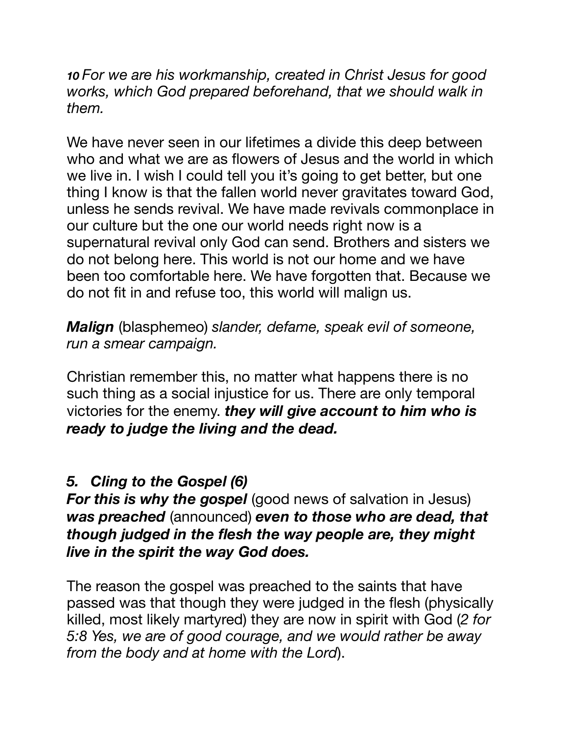*10 For we are his workmanship, created in Christ Jesus for good works, which God prepared beforehand, that we should walk in them.* 

We have never seen in our lifetimes a divide this deep between who and what we are as flowers of Jesus and the world in which we live in. I wish I could tell you it's going to get better, but one thing I know is that the fallen world never gravitates toward God, unless he sends revival. We have made revivals commonplace in our culture but the one our world needs right now is a supernatural revival only God can send. Brothers and sisters we do not belong here. This world is not our home and we have been too comfortable here. We have forgotten that. Because we do not fit in and refuse too, this world will malign us.

*Malign* (blasphemeo) *slander, defame, speak evil of someone, run a smear campaign.* 

Christian remember this, no matter what happens there is no such thing as a social injustice for us. There are only temporal victories for the enemy. *they will give account to him who is ready to judge the living and the dead.* 

# *5. Cling to the Gospel (6)*

*For this is why the gospel* (good news of salvation in Jesus) *was preached* (announced) *even to those who are dead, that though judged in the flesh the way people are, they might live in the spirit the way God does.* 

The reason the gospel was preached to the saints that have passed was that though they were judged in the flesh (physically killed, most likely martyred) they are now in spirit with God (*2 for 5:8 Yes, we are of good courage, and we would rather be away from the body and at home with the Lord*).